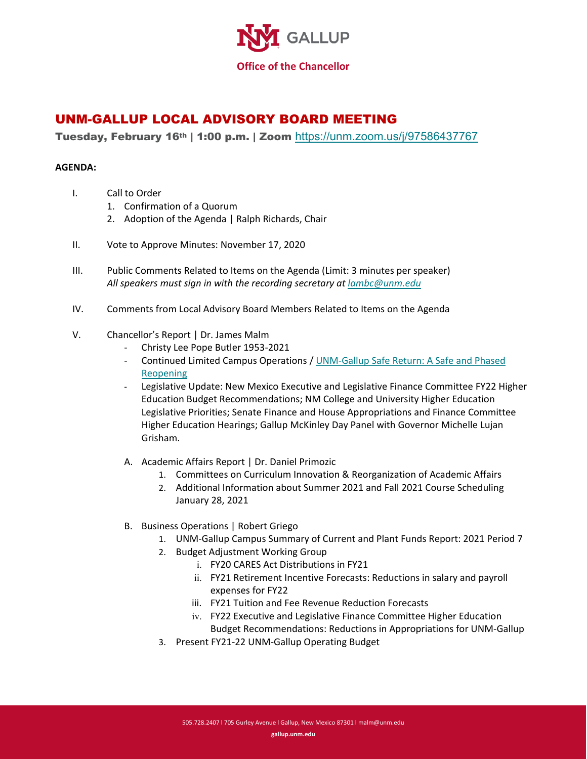

## UNM-GALLUP LOCAL ADVISORY BOARD MEETING

Tuesday, February 16th | 1:00 p.m. | Zoom <https://unm.zoom.us/j/97586437767>

## **AGENDA:**

- I. Call to Order
	- 1. Confirmation of a Quorum
	- 2. Adoption of the Agenda | Ralph Richards, Chair
- II. Vote to Approve Minutes: November 17, 2020
- III. Public Comments Related to Items on the Agenda (Limit: 3 minutes per speaker) *All speakers must sign in with the recording secretary at [lambc@unm.edu](mailto:lambc@unm.edu)*
- IV. Comments from Local Advisory Board Members Related to Items on the Agenda
- V. Chancellor's Report | Dr. James Malm
	- Christy Lee Pope Butler 1953-2021
	- Continued Limited Campus Operations [/ UNM-Gallup Safe Return: A Safe and Phased](http://www.gallup.unm.edu/safe-return)  [Reopening](http://www.gallup.unm.edu/safe-return)
	- Legislative Update: New Mexico Executive and Legislative Finance Committee FY22 Higher Education Budget Recommendations; NM College and University Higher Education Legislative Priorities; Senate Finance and House Appropriations and Finance Committee Higher Education Hearings; Gallup McKinley Day Panel with Governor Michelle Lujan Grisham.
	- A. Academic Affairs Report | Dr. Daniel Primozic
		- 1. Committees on Curriculum Innovation & Reorganization of Academic Affairs
		- 2. Additional Information about Summer 2021 and Fall 2021 Course Scheduling January 28, 2021
	- B. Business Operations | Robert Griego
		- 1. UNM-Gallup Campus Summary of Current and Plant Funds Report: 2021 Period 7
		- 2. Budget Adjustment Working Group
			- i. FY20 CARES Act Distributions in FY21
			- ii. FY21 Retirement Incentive Forecasts: Reductions in salary and payroll expenses for FY22
			- iii. FY21 Tuition and Fee Revenue Reduction Forecasts
			- iv. FY22 Executive and Legislative Finance Committee Higher Education Budget Recommendations: Reductions in Appropriations for UNM-Gallup
		- 3. Present FY21-22 UNM-Gallup Operating Budget